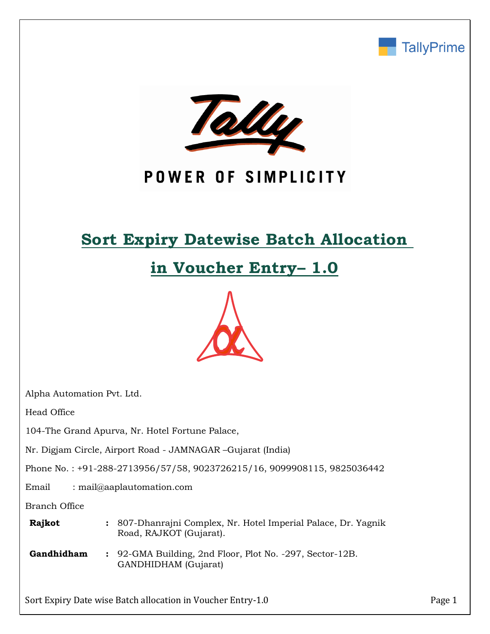



# POWER OF SIMPLICITY

# **Sort Expiry Datewise Batch Allocation**

# **in Voucher Entry– 1.0**



Alpha Automation Pvt. Ltd.

Head Office

104-The Grand Apurva, Nr. Hotel Fortune Palace,

Nr. Digjam Circle, Airport Road - JAMNAGAR –Gujarat (India)

Phone No. : +91-288-2713956/57/58, 9023726215/16, 9099908115, 9825036442

Email : mail@aaplautomation.com

Branch Office

| <b>Rajkot</b> | : 807-Dhanrajni Complex, Nr. Hotel Imperial Palace, Dr. Yagnik |  |
|---------------|----------------------------------------------------------------|--|
|               | Road, RAJKOT (Gujarat).                                        |  |

**Gandhidham :** 92-GMA Building, 2nd Floor, Plot No. -297, Sector-12B. GANDHIDHAM (Gujarat)

Sort Expiry Date wise Batch allocation in Voucher Entry-1.0 Page 1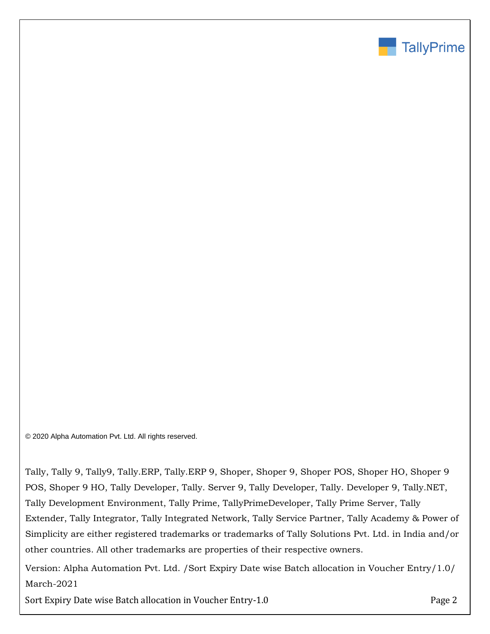

© 2020 Alpha Automation Pvt. Ltd. All rights reserved.

Tally, Tally 9, Tally9, Tally.ERP, Tally.ERP 9, Shoper, Shoper 9, Shoper POS, Shoper HO, Shoper 9 POS, Shoper 9 HO, Tally Developer, Tally. Server 9, Tally Developer, Tally. Developer 9, Tally.NET, Tally Development Environment, Tally Prime, TallyPrimeDeveloper, Tally Prime Server, Tally Extender, Tally Integrator, Tally Integrated Network, Tally Service Partner, Tally Academy & Power of Simplicity are either registered trademarks or trademarks of Tally Solutions Pvt. Ltd. in India and/or other countries. All other trademarks are properties of their respective owners.

Version: Alpha Automation Pvt. Ltd. /Sort Expiry Date wise Batch allocation in Voucher Entry/1.0/ March-2021

Sort Expiry Date wise Batch allocation in Voucher Entry-1.0 Page 2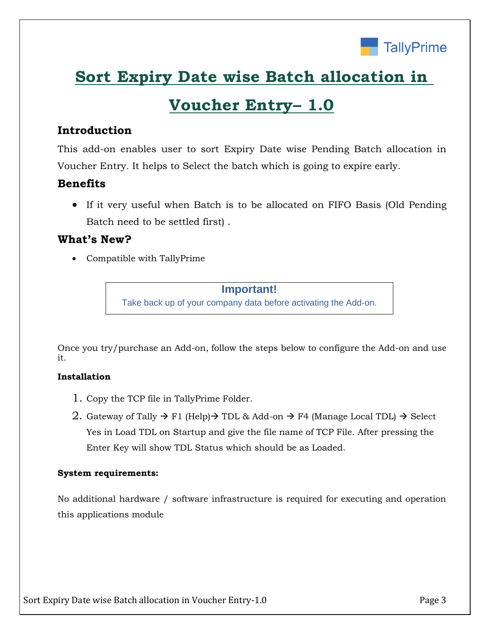

# **Sort Expiry Date wise Batch allocation in**

# **Voucher Entry– 1.0**

## **Introduction**

This add-on enables user to sort Expiry Date wise Pending Batch allocation in Voucher Entry. It helps to Select the batch which is going to expire early.

## **Benefits**

• If it very useful when Batch is to be allocated on FIFO Basis (Old Pending Batch need to be settled first) .

## **What's New?**

• Compatible with TallyPrime

### **Important!**

Take back up of your company data before activating the Add-on.

Once you try/purchase an Add-on, follow the steps below to configure the Add-on and use it.

### **Installation**

- 1. Copy the TCP file in TallyPrime Folder.
- 2. Gateway of Tally  $\rightarrow$  F1 (Help) $\rightarrow$  TDL & Add-on  $\rightarrow$  F4 (Manage Local TDL)  $\rightarrow$  Select Yes in Load TDL on Startup and give the file name of TCP File. After pressing the Enter Key will show TDL Status which should be as Loaded.

### **System requirements:**

No additional hardware / software infrastructure is required for executing and operation this applications module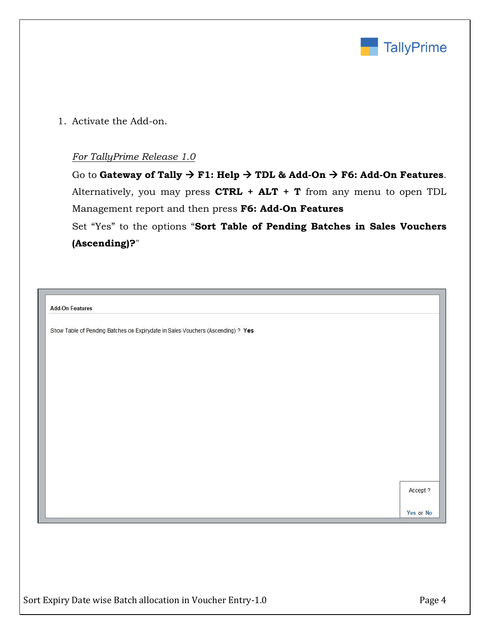

1. Activate the Add-on.

### *For TallyPrime Release 1.0*

Go to **Gateway of Tally** → **F1: Help** → **TDL & Add-On** → **F6: Add-On Features**. Alternatively, you may press **CTRL + ALT + T** from any menu to open TDL Management report and then press **F6: Add-On Features**

Set "Yes" to the options "**Sort Table of Pending Batches in Sales Vouchers (Ascending)?**"

**Add-On Features** 

Show Table of Pending Batches on Expirydate in Sales Vouchers (Ascending) ? Yes

Accept ?

Yes or No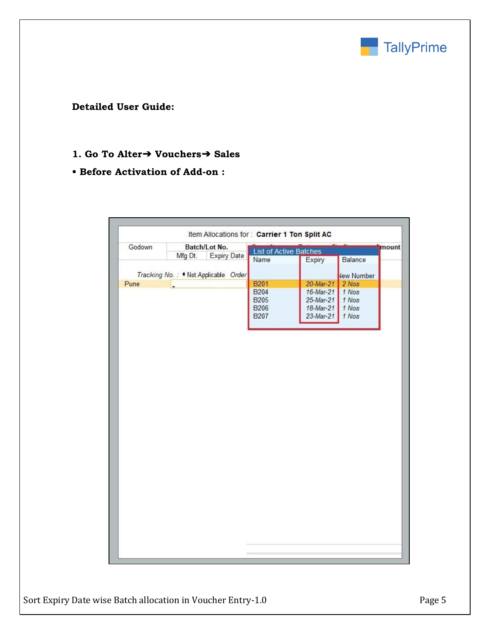

**Detailed User Guide:**

### **1. Go To Alter**➔ **Vouchers**➔ **Sales**

## **• Before Activation of Add-on :**

| na ma<br>Godown<br>Batch/Lot No.<br><b>List of Active Batches</b><br><b>Expiry Date</b><br>Mfg Dt.<br>Balance<br>Name<br>Expiry<br>Tracking No.: . Not Applicable Order<br><b>Vew Number</b><br><b>B201</b><br>Pune<br>20-Mar-21<br>2 Nos<br><b>B204</b><br>16-Mar-21<br>1 Nos<br>1 Nos<br><b>B205</b><br>25-Mar-21<br>1 Nos<br><b>B206</b><br>18-Mar-21<br><b>B207</b><br>23-Mar-21<br>1 Nos |       |
|-----------------------------------------------------------------------------------------------------------------------------------------------------------------------------------------------------------------------------------------------------------------------------------------------------------------------------------------------------------------------------------------------|-------|
|                                                                                                                                                                                                                                                                                                                                                                                               | mount |
|                                                                                                                                                                                                                                                                                                                                                                                               |       |
|                                                                                                                                                                                                                                                                                                                                                                                               |       |
|                                                                                                                                                                                                                                                                                                                                                                                               |       |
|                                                                                                                                                                                                                                                                                                                                                                                               |       |
|                                                                                                                                                                                                                                                                                                                                                                                               |       |
|                                                                                                                                                                                                                                                                                                                                                                                               |       |
|                                                                                                                                                                                                                                                                                                                                                                                               |       |
|                                                                                                                                                                                                                                                                                                                                                                                               |       |
|                                                                                                                                                                                                                                                                                                                                                                                               |       |
|                                                                                                                                                                                                                                                                                                                                                                                               |       |
|                                                                                                                                                                                                                                                                                                                                                                                               |       |
|                                                                                                                                                                                                                                                                                                                                                                                               |       |
|                                                                                                                                                                                                                                                                                                                                                                                               |       |
|                                                                                                                                                                                                                                                                                                                                                                                               |       |
|                                                                                                                                                                                                                                                                                                                                                                                               |       |
|                                                                                                                                                                                                                                                                                                                                                                                               |       |
|                                                                                                                                                                                                                                                                                                                                                                                               |       |
|                                                                                                                                                                                                                                                                                                                                                                                               |       |
|                                                                                                                                                                                                                                                                                                                                                                                               |       |
|                                                                                                                                                                                                                                                                                                                                                                                               |       |
|                                                                                                                                                                                                                                                                                                                                                                                               |       |
|                                                                                                                                                                                                                                                                                                                                                                                               |       |
|                                                                                                                                                                                                                                                                                                                                                                                               |       |
|                                                                                                                                                                                                                                                                                                                                                                                               |       |
|                                                                                                                                                                                                                                                                                                                                                                                               |       |
|                                                                                                                                                                                                                                                                                                                                                                                               |       |
|                                                                                                                                                                                                                                                                                                                                                                                               |       |
|                                                                                                                                                                                                                                                                                                                                                                                               |       |
|                                                                                                                                                                                                                                                                                                                                                                                               |       |
|                                                                                                                                                                                                                                                                                                                                                                                               |       |
|                                                                                                                                                                                                                                                                                                                                                                                               |       |
|                                                                                                                                                                                                                                                                                                                                                                                               |       |
|                                                                                                                                                                                                                                                                                                                                                                                               |       |
|                                                                                                                                                                                                                                                                                                                                                                                               |       |
|                                                                                                                                                                                                                                                                                                                                                                                               |       |
|                                                                                                                                                                                                                                                                                                                                                                                               |       |
|                                                                                                                                                                                                                                                                                                                                                                                               |       |
|                                                                                                                                                                                                                                                                                                                                                                                               |       |
|                                                                                                                                                                                                                                                                                                                                                                                               |       |
|                                                                                                                                                                                                                                                                                                                                                                                               |       |
|                                                                                                                                                                                                                                                                                                                                                                                               |       |
|                                                                                                                                                                                                                                                                                                                                                                                               |       |
|                                                                                                                                                                                                                                                                                                                                                                                               |       |
|                                                                                                                                                                                                                                                                                                                                                                                               |       |
|                                                                                                                                                                                                                                                                                                                                                                                               |       |
|                                                                                                                                                                                                                                                                                                                                                                                               |       |
|                                                                                                                                                                                                                                                                                                                                                                                               |       |
|                                                                                                                                                                                                                                                                                                                                                                                               |       |
|                                                                                                                                                                                                                                                                                                                                                                                               |       |
|                                                                                                                                                                                                                                                                                                                                                                                               |       |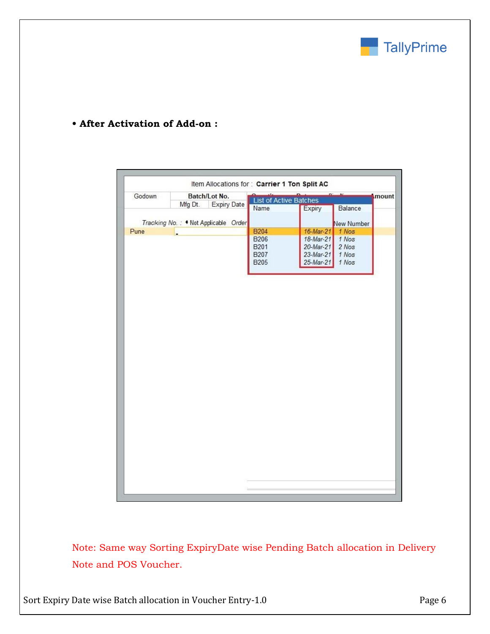

## **• After Activation of Add-on :**

| Godown | Batch/Lot No.                        | List of Active Batches |              | $n - n$    | mount |
|--------|--------------------------------------|------------------------|--------------|------------|-------|
|        | Mfg Dt.<br><b>Expiry Date</b>        |                        |              |            |       |
|        |                                      | Name                   | Expiry       | Balance    |       |
|        | Tracking No.: • Not Applicable Order |                        |              | New Number |       |
| Pune   |                                      | <b>B204</b>            | 16-Mar-21    | 1 Nos      |       |
|        |                                      | <b>B206</b>            | 18-Mar-21    | 1 Nos      |       |
|        |                                      | B201                   | $20$ -Mar-21 | 2 Nos      |       |
|        |                                      | <b>B207</b>            | $23$ -Mar-21 | 1 Nos      |       |
|        |                                      | <b>B205</b>            | 25-Mar-21    | 1 Nos      |       |
|        |                                      |                        |              |            |       |
|        |                                      |                        |              |            |       |
|        |                                      |                        |              |            |       |
|        |                                      |                        |              |            |       |
|        |                                      |                        |              |            |       |
|        |                                      |                        |              |            |       |
|        |                                      |                        |              |            |       |
|        |                                      |                        |              |            |       |
|        |                                      |                        |              |            |       |
|        |                                      |                        |              |            |       |
|        |                                      |                        |              |            |       |
|        |                                      |                        |              |            |       |
|        |                                      |                        |              |            |       |
|        |                                      |                        |              |            |       |
|        |                                      |                        |              |            |       |
|        |                                      |                        |              |            |       |
|        |                                      |                        |              |            |       |
|        |                                      |                        |              |            |       |
|        |                                      |                        |              |            |       |
|        |                                      |                        |              |            |       |
|        |                                      |                        |              |            |       |
|        |                                      |                        |              |            |       |
|        |                                      |                        |              |            |       |
|        |                                      |                        |              |            |       |
|        |                                      |                        |              |            |       |
|        |                                      |                        |              |            |       |
|        |                                      |                        |              |            |       |
|        |                                      |                        |              |            |       |
|        |                                      |                        |              |            |       |
|        |                                      |                        |              |            |       |
|        |                                      |                        |              |            |       |
|        |                                      |                        |              |            |       |
|        |                                      |                        |              |            |       |
|        |                                      |                        |              |            |       |

Note: Same way Sorting ExpiryDate wise Pending Batch allocation in Delivery Note and POS Voucher.

Sort Expiry Date wise Batch allocation in Voucher Entry-1.0 Page 6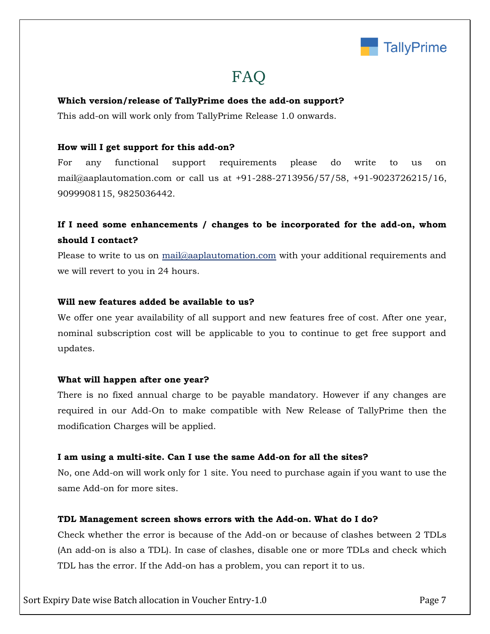

## FAQ

### **Which version/release of TallyPrime does the add-on support?**

This add-on will work only from TallyPrime Release 1.0 onwards.

### **How will I get support for this add-on?**

For any functional support requirements please do write to us on mail@aaplautomation.com or call us at +91-288-2713956/57/58, +91-9023726215/16, 9099908115, 9825036442.

## **If I need some enhancements / changes to be incorporated for the add-on, whom should I contact?**

Please to write to us on mail@aaplautomation.com with your additional requirements and we will revert to you in 24 hours.

#### **Will new features added be available to us?**

We offer one year availability of all support and new features free of cost. After one year, nominal subscription cost will be applicable to you to continue to get free support and updates.

#### **What will happen after one year?**

There is no fixed annual charge to be payable mandatory. However if any changes are required in our Add-On to make compatible with New Release of TallyPrime then the modification Charges will be applied.

#### **I am using a multi-site. Can I use the same Add-on for all the sites?**

No, one Add-on will work only for 1 site. You need to purchase again if you want to use the same Add-on for more sites.

#### **TDL Management screen shows errors with the Add-on. What do I do?**

Check whether the error is because of the Add-on or because of clashes between 2 TDLs (An add-on is also a TDL). In case of clashes, disable one or more TDLs and check which TDL has the error. If the Add-on has a problem, you can report it to us.